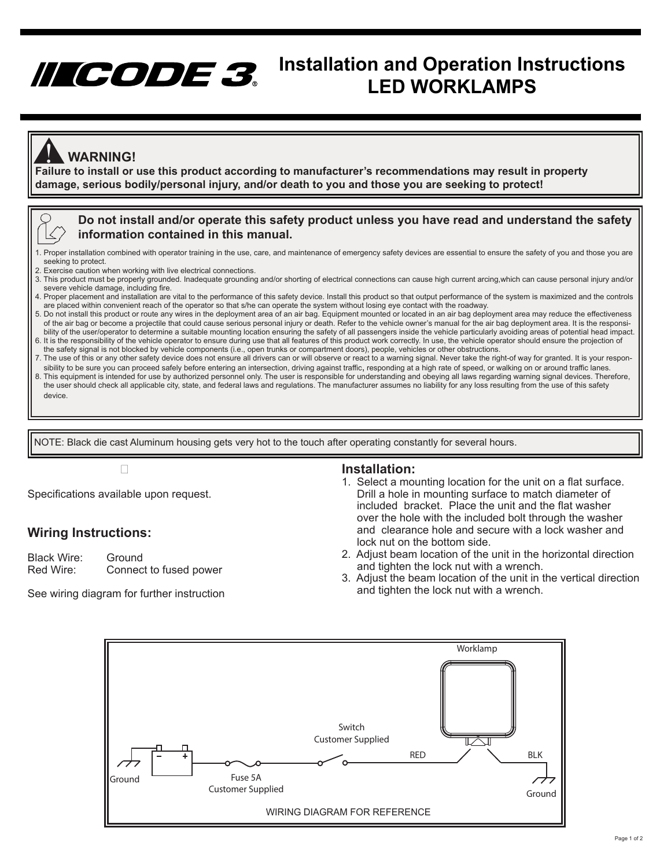# **Installation and Operation Instructions LED WORKLAMPS**

### **WARNING!**

**Failure to install or use this product according to manufacturer's recommendations may result in property**<br>Failure to install or use this product according to manufacturer's recommendations may result in property **damage, serious bodily/personal injury, and/or death to you and those you are seeking to protect!** 

### **Do not install and/or operate this safety product unless you have read and understand the safety information contained in this manual.**

- 1. Proper installation combined with operator training in the use, care, and maintenance of emergency safety devices are essential to ensure the safety of you and those you are seeking to protect.
- 2. Exercise caution when working with live electrical connections.
- 3. This product must be properly grounded. Inadequate grounding and/or shorting of electrical connections can cause high current arcing,which can cause personal injury and/or severe vehicle damage, including fire.
- 4. Proper placement and installation are vital to the performance of this safety device. Install this product so that output performance of the system is maximized and the controls are placed within convenient reach of the operator so that s/he can operate the system without losing eye contact with the roadway.
- 5. Do not install this product or route any wires in the deployment area of an air bag. Equipment mounted or located in an air bag deployment area may reduce the effectiveness of the air bag or become a projectile that could cause serious personal injury or death. Refer to the vehicle owner's manual for the air bag deployment area. It is the responsi bility of the user/operator to determine a suitable mounting location ensuring the safety of all passengers inside the vehicle particularly avoiding areas of potential head impact. 6. It is the responsibility of the vehicle operator to ensure during use that all features of this product work correctly. In use, the vehicle operator should ensure the projection of the safety signal is not blocked by vehicle components (i.e., open trunks or compartment doors), people, vehicles or other obstructions.
- 7. The use of this or any other safety device does not ensure all drivers can or will observe or react to a warning signal. Never take the right-of way for granted. It is your respon sibility to be sure you can proceed safely before entering an intersection, driving against traffic, responding at a high rate of speed, or walking on or around traffic lanes.
- 8. This equipment is intended for use by authorized personnel only. The user is responsible for understanding and obeying all laws regarding warning signal devices. Therefore, the user should check all applicable city, state, and federal laws and regulations. The manufacturer assumes no liability for any loss resulting from the use of this safety device.

NOTE: Black die cast Aluminum housing gets very hot to the touch after operating constantly for several hours.

Specifications available upon request.

### **Wiring Instructions:**

Black Wire: Ground Red Wire: Connect to fused power

See wiring diagram for further instruction

### **Installation:**

- 1. Select a mounting location for the unit on a flat surface. Drill a hole in mounting surface to match diameter of included bracket. Place the unit and the flat washer over the hole with the included bolt through the washer and clearance hole and secure with a lock washer and lock nut on the bottom side.
- 2. Adjust beam location of the unit in the horizontal direction and tighten the lock nut with a wrench.
- 3. Adjust the beam location of the unit in the vertical direction and tighten the lock nut with a wrench.

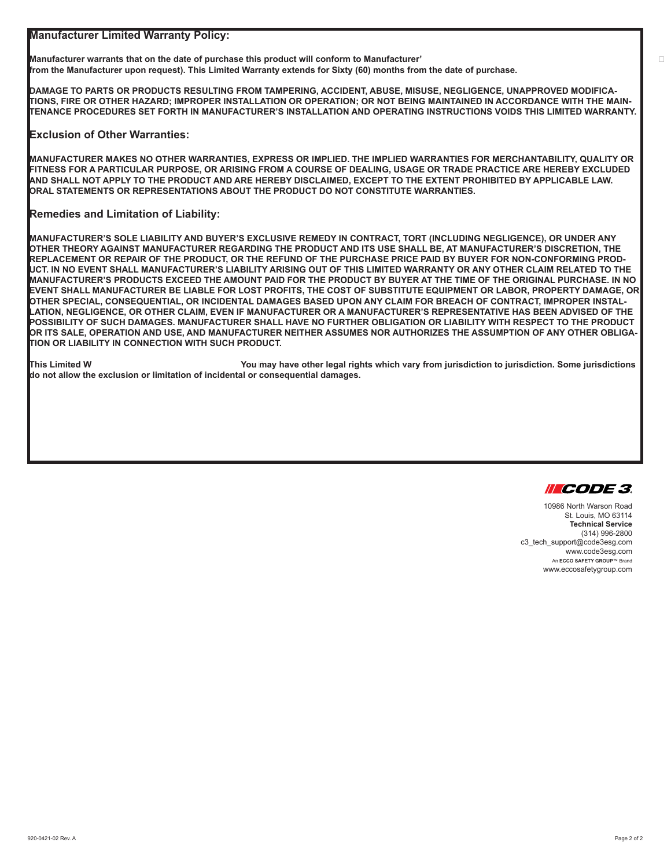**Manufacturer Limited Warranty Policy:**

Manufacturer warrants that on the date of purchase this product will conform to Manufacturer' **from the Manufacturer upon request). This Limited Warranty extends for Sixty (60) months from the date of purchase.** 

**DAMAGE TO PARTS OR PRODUCTS RESULTING FROM TAMPERING, ACCIDENT, ABUSE, MISUSE, NEGLIGENCE, UNAPPROVED MODIFICA-TIONS, FIRE OR OTHER HAZARD; IMPROPER INSTALLATION OR OPERATION; OR NOT BEING MAINTAINED IN ACCORDANCE WITH THE MAIN-TENANCE PROCEDURES SET FORTH IN MANUFACTURER'S INSTALLATION AND OPERATING INSTRUCTIONS VOIDS THIS LIMITED WARRANTY.**

#### **Exclusion of Other Warranties:**

**MANUFACTURER MAKES NO OTHER WARRANTIES, EXPRESS OR IMPLIED. THE IMPLIED WARRANTIES FOR MERCHANTABILITY, QUALITY OR FITNESS FOR A PARTICULAR PURPOSE, OR ARISING FROM A COURSE OF DEALING, USAGE OR TRADE PRACTICE ARE HEREBY EXCLUDED AND SHALL NOT APPLY TO THE PRODUCT AND ARE HEREBY DISCLAIMED, EXCEPT TO THE EXTENT PROHIBITED BY APPLICABLE LAW. ORAL STATEMENTS OR REPRESENTATIONS ABOUT THE PRODUCT DO NOT CONSTITUTE WARRANTIES.**

#### **Remedies and Limitation of Liability:**

**MANUFACTURER'S SOLE LIABILITY AND BUYER'S EXCLUSIVE REMEDY IN CONTRACT, TORT (INCLUDING NEGLIGENCE), OR UNDER ANY OTHER THEORY AGAINST MANUFACTURER REGARDING THE PRODUCT AND ITS USE SHALL BE, AT MANUFACTURER'S DISCRETION, THE REPLACEMENT OR REPAIR OF THE PRODUCT, OR THE REFUND OF THE PURCHASE PRICE PAID BY BUYER FOR NON-CONFORMING PROD-UCT. IN NO EVENT SHALL MANUFACTURER'S LIABILITY ARISING OUT OF THIS LIMITED WARRANTY OR ANY OTHER CLAIM RELATED TO THE MANUFACTURER'S PRODUCTS EXCEED THE AMOUNT PAID FOR THE PRODUCT BY BUYER AT THE TIME OF THE ORIGINAL PURCHASE. IN NO EVENT SHALL MANUFACTURER BE LIABLE FOR LOST PROFITS, THE COST OF SUBSTITUTE EQUIPMENT OR LABOR, PROPERTY DAMAGE, OR OTHER SPECIAL, CONSEQUENTIAL, OR INCIDENTAL DAMAGES BASED UPON ANY CLAIM FOR BREACH OF CONTRACT, IMPROPER INSTAL-LATION, NEGLIGENCE, OR OTHER CLAIM, EVEN IF MANUFACTURER OR A MANUFACTURER'S REPRESENTATIVE HAS BEEN ADVISED OF THE POSSIBILITY OF SUCH DAMAGES. MANUFACTURER SHALL HAVE NO FURTHER OBLIGATION OR LIABILITY WITH RESPECT TO THE PRODUCT OR ITS SALE, OPERATION AND USE, AND MANUFACTURER NEITHER ASSUMES NOR AUTHORIZES THE ASSUMPTION OF ANY OTHER OBLIGA-TION OR LIABILITY IN CONNECTION WITH SUCH PRODUCT.**

**This Limited W��������������������You may have other legal rights which vary from jurisdiction to jurisdiction. Some jurisdictions do not allow the exclusion or limitation of incidental or consequential damages.**



10986 North Warson Road St. Louis, MO 63114 **Technical Service** (314) 996-2800 c3\_tech\_support@code3esg.com www.code3esg.com An **ECCO SAFETY GROUP**™ Brand www.eccosafetygroup.com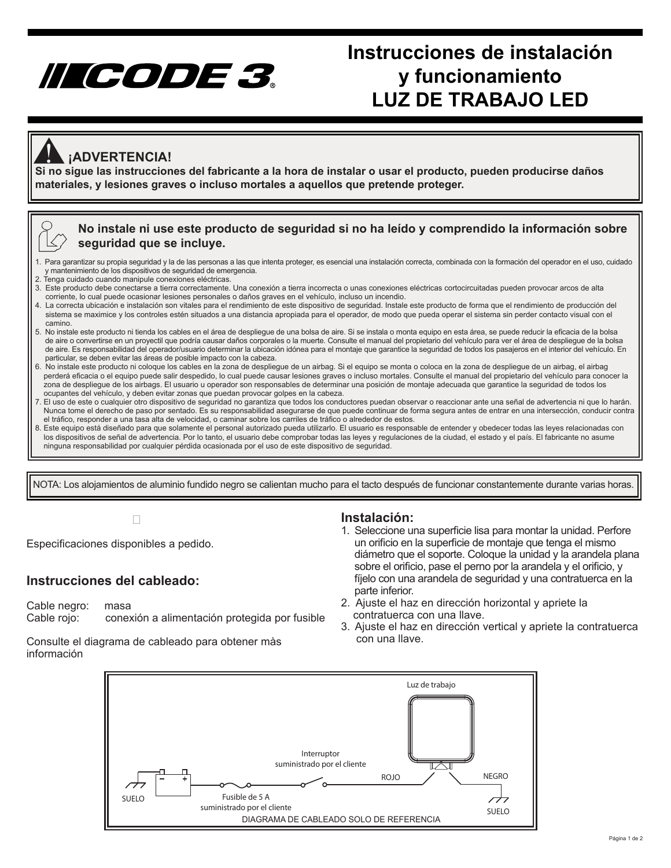# IILCODE 3.

# **Instrucciones de instalación y funcionamiento LUZ DE TRABAJO LED**

### **¡ADVERTENCIA!**

**Si no sigue las instrucciones del fabricante a la hora de instalar o usar el producto, pueden producirse daños**<br>Si no sigue las instrucciones del fabricante a la hora de instalar o usar el producto, pueden producirse daño **materiales, y lesiones graves o incluso mortales a aquellos que pretende proteger.** 

### **No instale ni use este producto de seguridad si no ha leído y comprendido la información sobre seguridad que se incluye.**

- 1. Para garantizar su propia seguridad y la de las personas a las que intenta proteger, es esencial una instalación correcta, combinada con la formación del operador en el uso, cuidado y mantenimiento de los dispositivos de seguridad de emergencia.
- 2. Tenga cuidado cuando manipule conexiones eléctricas.
- 3. Este producto debe conectarse a tierra correctamente. Una conexión a tierra incorrecta o unas conexiones eléctricas cortocircuitadas pueden provocar arcos de alta corriente, lo cual puede ocasionar lesiones personales o daños graves en el vehículo, incluso un incendio.
- 4. La correcta ubicación e instalación son vitales para el rendimiento de este dispositivo de seguridad. Instale este producto de forma que el rendimiento de producción del sistema se maximice y los controles estén situados a una distancia apropiada para el operador, de modo que pueda operar el sistema sin perder contacto visual con el camino.
- 5. No instale este producto ni tienda los cables en el área de despliegue de una bolsa de aire. Si se instala o monta equipo en esta área, se puede reducir la eficacia de la bolsa de aire o convertirse en un proyectil que podría causar daños corporales o la muerte. Consulte el manual del propietario del vehículo para ver el área de despliegue de la bolsa de aire. Es responsabilidad del operador/usuario determinar la ubicación idónea para el montaje que garantice la seguridad de todos los pasajeros en el interior del vehículo. En particular, se deben evitar las áreas de posible impacto con la cabeza.
- 6. No instale este producto ni coloque los cables en la zona de despliegue de un airbag. Si el equipo se monta o coloca en la zona de despliegue de un airbag, el airbag perderá eficacia o el equipo puede salir despedido, lo cual puede causar lesiones graves o incluso mortales. Consulte el manual del propietario del vehículo para conocer la zona de despliegue de los airbags. El usuario u operador son responsables de determinar una posición de montaje adecuada que garantice la seguridad de todos los ocupantes del vehículo, y deben evitar zonas que puedan provocar golpes en la cabeza.
- 7. El uso de este o cualquier otro dispositivo de seguridad no garantiza que todos los conductores puedan observar o reaccionar ante una señal de advertencia ni que lo harán. Nunca tome el derecho de paso por sentado. Es su responsabilidad asegurarse de que puede continuar de forma segura antes de entrar en una intersección, conducir contra el tráfico, responder a una tasa alta de velocidad, o caminar sobre los carriles de tráfico o alrededor de estos.
- 8. Este equipo está diseñado para que solamente el personal autorizado pueda utilizarlo. El usuario es responsable de entender y obedecer todas las leyes relacionadas con los dispositivos de señal de advertencia. Por lo tanto, el usuario debe comprobar todas las leyes y regulaciones de la ciudad, el estado y el país. El fabricante no asume ninguna responsabilidad por cualquier pérdida ocasionada por el uso de este dispositivo de seguridad.

NOTA: Los alojamientos de aluminio fundido negro se calientan mucho para el tacto después de funcionar constantemente durante varias horas.

Especificaciones disponibles a pedido.

### **Instrucciones del cableado:**

Cable negro: masa Cable rojo: conexión a alimentación protegida por fusible

Consulte el diagrama de cableado para obtener màs información

### **Instalación:**

- 1. Seleccione una superficie lisa para montar la unidad. Perfore un orificio en la superficie de montaje que tenga el mismo diámetro que el soporte. Coloque la unidad y la arandela plana sobre el orificio, pase el perno por la arandela y el orificio, y fíjelo con una arandela de seguridad y una contratuerca en la parte inferior.
- 2. Ajuste el haz en dirección horizontal y apriete la contratuerca con una llave.
- 3. Ajuste el haz en dirección vertical y apriete la contratuerca con una llave.

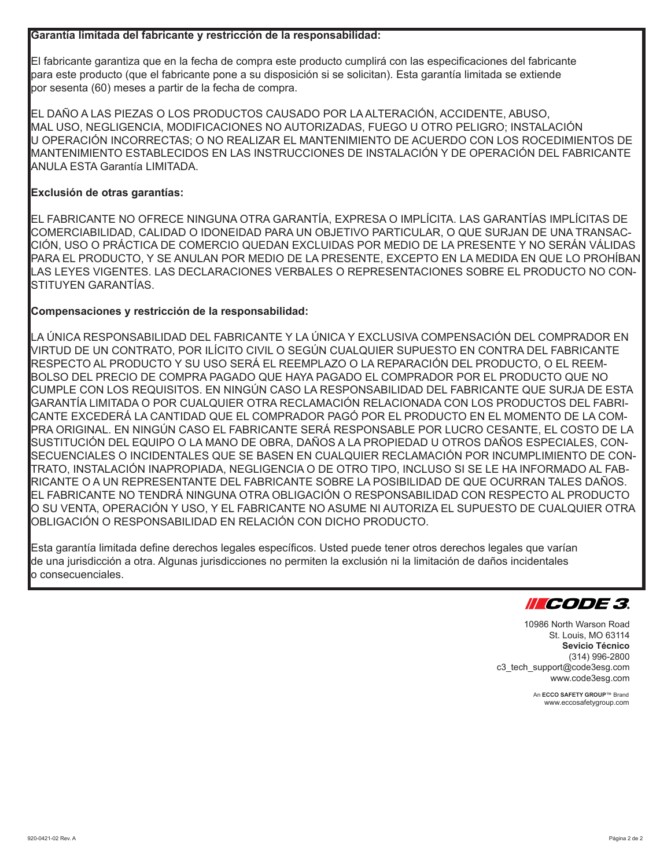### **Garantía limitada del fabricante y restricción de la responsabilidad:**

El fabricante garantiza que en la fecha de compra este producto cumplirá con las especificaciones del fabricante para este producto (que el fabricante pone a su disposición si se solicitan). Esta garantía limitada se extiende por sesenta (60) meses a partir de la fecha de compra.

EL DAÑO A LAS PIEZAS O LOS PRODUCTOS CAUSADO POR LA ALTERACIÓN, ACCIDENTE, ABUSO, MAL USO, NEGLIGENCIA, MODIFICACIONES NO AUTORIZADAS, FUEGO U OTRO PELIGRO; INSTALACIÓN U OPERACIÓN INCORRECTAS; O NO REALIZAR EL MANTENIMIENTO DE ACUERDO CON LOS ROCEDIMIENTOS DE MANTENIMIENTO ESTABLECIDOS EN LAS INSTRUCCIONES DE INSTALACIÓN Y DE OPERACIÓN DEL FABRICANTE ANULA ESTA Garantía LIMITADA.

### **Exclusión de otras garantías:**

EL FABRICANTE NO OFRECE NINGUNA OTRA GARANTÍA, EXPRESA O IMPLÍCITA. LAS GARANTÍAS IMPLÍCITAS DE COMERCIABILIDAD, CALIDAD O IDONEIDAD PARA UN OBJETIVO PARTICULAR, O QUE SURJAN DE UNA TRANSAC-CIÓN, USO O PRÁCTICA DE COMERCIO QUEDAN EXCLUIDAS POR MEDIO DE LA PRESENTE Y NO SERÁN VÁLIDAS PARA EL PRODUCTO, Y SE ANULAN POR MEDIO DE LA PRESENTE, EXCEPTO EN LA MEDIDA EN QUE LO PROHÍBAN LAS LEYES VIGENTES. LAS DECLARACIONES VERBALES O REPRESENTACIONES SOBRE EL PRODUCTO NO CON-STITUYEN GARANTÍAS.

### **Compensaciones y restricción de la responsabilidad:**

LA ÚNICA RESPONSABILIDAD DEL FABRICANTE Y LA ÚNICA Y EXCLUSIVA COMPENSACIÓN DEL COMPRADOR EN VIRTUD DE UN CONTRATO, POR ILÍCITO CIVIL O SEGÚN CUALQUIER SUPUESTO EN CONTRA DEL FABRICANTE RESPECTO AL PRODUCTO Y SU USO SERÁ EL REEMPLAZO O LA REPARACIÓN DEL PRODUCTO, O EL REEM-BOLSO DEL PRECIO DE COMPRA PAGADO QUE HAYA PAGADO EL COMPRADOR POR EL PRODUCTO QUE NO CUMPLE CON LOS REQUISITOS. EN NINGÚN CASO LA RESPONSABILIDAD DEL FABRICANTE QUE SURJA DE ESTA GARANTÍA LIMITADA O POR CUALQUIER OTRA RECLAMACIÓN RELACIONADA CON LOS PRODUCTOS DEL FABRI-CANTE EXCEDERÁ LA CANTIDAD QUE EL COMPRADOR PAGÓ POR EL PRODUCTO EN EL MOMENTO DE LA COM-PRA ORIGINAL. EN NINGÚN CASO EL FABRICANTE SERÁ RESPONSABLE POR LUCRO CESANTE, EL COSTO DE LA SUSTITUCIÓN DEL EQUIPO O LA MANO DE OBRA, DAÑOS A LA PROPIEDAD U OTROS DAÑOS ESPECIALES, CON-SECUENCIALES O INCIDENTALES QUE SE BASEN EN CUALQUIER RECLAMACIÓN POR INCUMPLIMIENTO DE CON-TRATO, INSTALACIÓN INAPROPIADA, NEGLIGENCIA O DE OTRO TIPO, INCLUSO SI SE LE HA INFORMADO AL FAB-RICANTE O A UN REPRESENTANTE DEL FABRICANTE SOBRE LA POSIBILIDAD DE QUE OCURRAN TALES DAÑOS. EL FABRICANTE NO TENDRÁ NINGUNA OTRA OBLIGACIÓN O RESPONSABILIDAD CON RESPECTO AL PRODUCTO O SU VENTA, OPERACIÓN Y USO, Y EL FABRICANTE NO ASUME NI AUTORIZA EL SUPUESTO DE CUALQUIER OTRA OBLIGACIÓN O RESPONSABILIDAD EN RELACIÓN CON DICHO PRODUCTO.

Esta garantía limitada define derechos legales específicos. Usted puede tener otros derechos legales que varían de una jurisdicción a otra. Algunas jurisdicciones no permiten la exclusión ni la limitación de daños incidentales o consecuenciales.



10986 North Warson Road St. Louis, MO 63114 **Sevicio Técnico** (314) 996-2800 c3\_tech\_support@code3esg.com www.code3esg.com

> An **ECCO SAFETY GROUP**™ Brand www.eccosafetygroup.com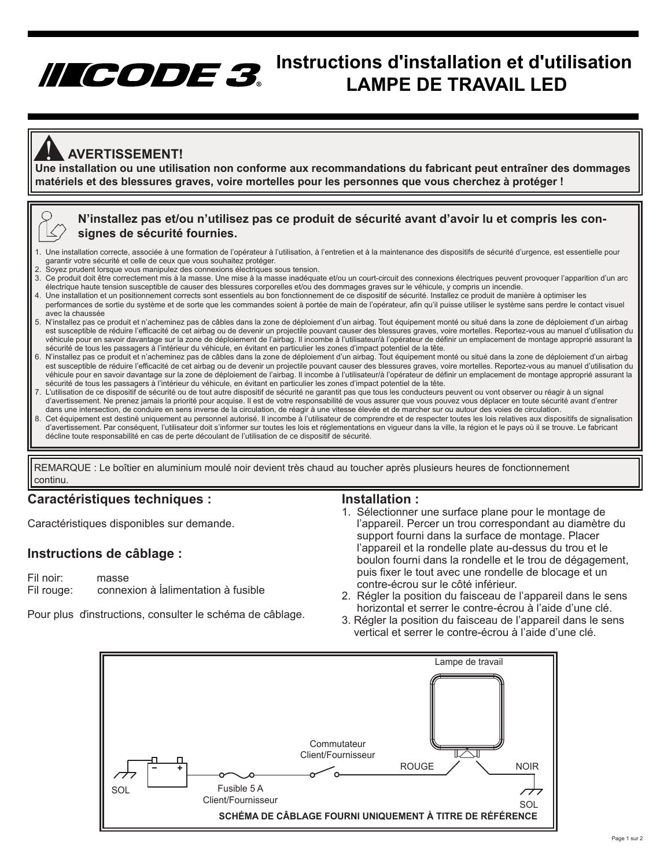## **Instructions d'installation et d'utilisation LAMPE DE TRAVAIL LED**

### **AVERTISSEMENT!**

**ANERTISSEMENT!**<br>Une installation ou une utilisation non conforme aux recommandations du fabricant peut entraîner des dommages **matériels et des blessures graves, voire mortelles pour les personnes que vous cherchez à protéger !**

### **N'installez pas et/ou n'utilisez pas ce produit de sécurité avant d'avoir lu et compris les consignes de sécurité fournies.**

- 1. Une installation correcte, associée à une formation de l'opérateur à l'utilisation, à l'entretien et à la maintenance des dispositifs de sécurité d'urgence, est essentielle pour garantir votre sécurité et celle de ceux que vous souhaitez protéger.
- 2. Soyez prudent lorsque vous manipulez des connexions électriques sous tension.
- 3. Ce produit doit être correctement mis à la masse. Une mise à la masse inadéquate et/ou un court-circuit des connexions électriques peuvent provoquer l'apparition d'un arc électrique haute tension susceptible de causer des blessures corporelles et/ou des dommages graves sur le véhicule, y compris un incendie.<br>4. Une installation et un positionnement corrects sont essentiels au bon fonctionn
- performances de sortie du système et de sorte que les commandes soient à portée de main de l'opérateur, afin qu'il puisse utiliser le système sans perdre le contact visuel
- avec la chaussée 5. N'installez pas ce produit et n'acheminez pas de câbles dans la zone de déploiement d'un airbag. Tout équipement monté ou situé dans la zone de déploiement d'un airbag est susceptible de réduire l'efficacité de cet airbag ou de devenir un projectile pouvant causer des blessures graves, voire mortelles. Reportez-vous au manuel d'utilisation du véhicule pour en savoir davantage sur la zone de déploiement de l'airbag. Il incombe à l'utilisateur/à l'opérateur de définir un emplacement de montage approprié assurant la sécurité de tous les passagers à l'intérieur du véhicule, en évitant en particulier les zones d'impact potentiel de la tête.
- 6. N'installez pas ce produit et n'acheminez pas de câbles dans la zone de déploiement d'un airbag. Tout équipement monté ou situé dans la zone de déploiement d'un airbag est susceptible de réduire l'efficacité de cet airbag ou de devenir un projectile pouvant causer des blessures graves, voire mortelles. Reportez-vous au manuel d'utilisation du véhicule pour en savoir davantage sur la zone de déploiement de l'airbag. Il incombe à l'utilisateur/à l'opérateur de définir un emplacement de montage approprié assurant la sécurité de tous les passagers à l'intérieur du véhicule, en évitant en particulier les zones d'impact potentiel de la tête.
- 7. L'utilisation de ce dispositif de sécurité ou de tout autre dispositif de sécurité ne garantit pas que tous les conducteurs peuvent ou vont observer ou réagir à un signal d'avertissement. Ne prenez jamais la priorité pour acquise. Il est de votre responsabilité de vous assurer que vous pouvez vous déplacer en toute sécurité avant d'entrer dans une intersection, de conduire en sens inverse de la circulation, de réagir à une vitesse élevée et de marcher sur ou autour des voies de circulation.
- 8. Cet équipement est destiné uniquement au personnel autorisé. Il incombe à l'utilisateur de comprendre et de respecter toutes les lois relatives aux dispositifs de signalisation d'avertissement. Par conséquent, l'utilisateur doit s'informer sur toutes les lois et réglementations en vigueur dans la ville, la région et le pays où il se trouve. Le fabricant décline toute responsabilité en cas de perte découlant de l'utilisation de ce dispositif de sécurité.

REMARQUE : Le boîtier en aluminium moulé noir devient très chaud au toucher après plusieurs heures de fonctionnement continu.

### **Caractéristiques techniques :**

Caractéristiques disponibles sur demande.

### **Instructions de câblage :**

Fil noir: masse<br>Fil rouge: conne: connexion à Íalimentation à fusible

Pour plus ďinstructions, consulter le schéma de câblage.

#### **Installation :**

- 1. Sélectionner une surface plane pour le montage de l'appareil. Percer un trou correspondant au diamètre du support fourni dans la surface de montage. Placer l'appareil et la rondelle plate au-dessus du trou et le boulon fourni dans la rondelle et le trou de dégagement, puis fixer le tout avec une rondelle de blocage et un contre-écrou sur le côté inférieur.
- 2. Régler la position du faisceau de l'appareil dans le sens horizontal et serrer le contre-écrou à l'aide d'une clé.
- 3. Régler la position du faisceau de l'appareil dans le sens vertical et serrer le contre-écrou à l'aide d'une clé.

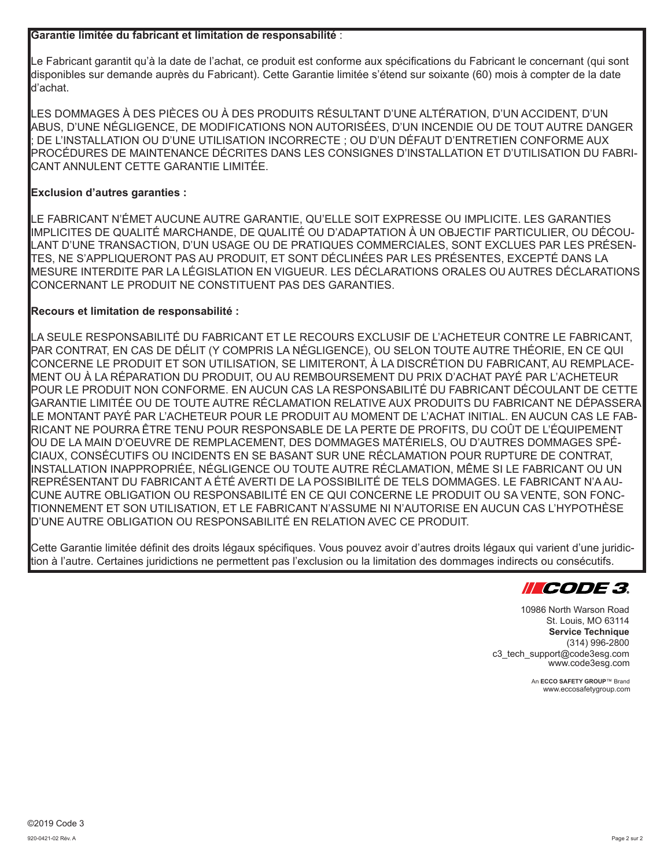### **Garantie limitée du fabricant et limitation de responsabilité** :

Le Fabricant garantit qu'à la date de l'achat, ce produit est conforme aux spécifications du Fabricant le concernant (qui sont disponibles sur demande auprès du Fabricant). Cette Garantie limitée s'étend sur soixante (60) mois à compter de la date d'achat.

LES DOMMAGES À DES PIÈCES OU À DES PRODUITS RÉSULTANT D'UNE ALTÉRATION, D'UN ACCIDENT, D'UN ABUS, D'UNE NÉGLIGENCE, DE MODIFICATIONS NON AUTORISÉES, D'UN INCENDIE OU DE TOUT AUTRE DANGER DE L'INSTALLATION OU D'UNE UTILISATION INCORRECTE ; OU D'UN DÉFAUT D'ENTRETIEN CONFORME AUX PROCÉDURES DE MAINTENANCE DÉCRITES DANS LES CONSIGNES D'INSTALLATION ET D'UTILISATION DU FABRI-CANT ANNULENT CETTE GARANTIE LIMITÉE.

### **Exclusion d'autres garanties :**

LE FABRICANT N'ÉMET AUCUNE AUTRE GARANTIE, QU'ELLE SOIT EXPRESSE OU IMPLICITE. LES GARANTIES IMPLICITES DE QUALITÉ MARCHANDE, DE QUALITÉ OU D'ADAPTATION À UN OBJECTIF PARTICULIER, OU DÉCOU-LANT D'UNE TRANSACTION, D'UN USAGE OU DE PRATIQUES COMMERCIALES, SONT EXCLUES PAR LES PRÉSEN-TES, NE S'APPLIQUERONT PAS AU PRODUIT, ET SONT DÉCLINÉES PAR LES PRÉSENTES, EXCEPTÉ DANS LA MESURE INTERDITE PAR LA LÉGISLATION EN VIGUEUR. LES DÉCLARATIONS ORALES OU AUTRES DÉCLARATIONS CONCERNANT LE PRODUIT NE CONSTITUENT PAS DES GARANTIES.

### **Recours et limitation de responsabilité :**

LA SEULE RESPONSABILITÉ DU FABRICANT ET LE RECOURS EXCLUSIF DE L'ACHETEUR CONTRE LE FABRICANT, PAR CONTRAT, EN CAS DE DÉLIT (Y COMPRIS LA NÉGLIGENCE), OU SELON TOUTE AUTRE THÉORIE, EN CE QUI CONCERNE LE PRODUIT ET SON UTILISATION, SE LIMITERONT, À LA DISCRÉTION DU FABRICANT, AU REMPLACE-MENT OU À LA RÉPARATION DU PRODUIT, OU AU REMBOURSEMENT DU PRIX D'ACHAT PAYÉ PAR L'ACHETEUR POUR LE PRODUIT NON CONFORME. EN AUCUN CAS LA RESPONSABILITÉ DU FABRICANT DÉCOULANT DE CETTE GARANTIE LIMITÉE OU DE TOUTE AUTRE RÉCLAMATION RELATIVE AUX PRODUITS DU FABRICANT NE DÉPASSERA LE MONTANT PAYÉ PAR L'ACHETEUR POUR LE PRODUIT AU MOMENT DE L'ACHAT INITIAL. EN AUCUN CAS LE FAB-RICANT NE POURRA ÊTRE TENU POUR RESPONSABLE DE LA PERTE DE PROFITS, DU COÛT DE L'ÉQUIPEMENT OU DE LA MAIN D'OEUVRE DE REMPLACEMENT, DES DOMMAGES MATÉRIELS, OU D'AUTRES DOMMAGES SPÉ-CIAUX, CONSÉCUTIFS OU INCIDENTS EN SE BASANT SUR UNE RÉCLAMATION POUR RUPTURE DE CONTRAT, INSTALLATION INAPPROPRIÉE, NÉGLIGENCE OU TOUTE AUTRE RÉCLAMATION, MÊME SI LE FABRICANT OU UN REPRÉSENTANT DU FABRICANT A ÉTÉ AVERTI DE LA POSSIBILITÉ DE TELS DOMMAGES. LE FABRICANT N'A AU-CUNE AUTRE OBLIGATION OU RESPONSABILITÉ EN CE QUI CONCERNE LE PRODUIT OU SA VENTE, SON FONC-TIONNEMENT ET SON UTILISATION, ET LE FABRICANT N'ASSUME NI N'AUTORISE EN AUCUN CAS L'HYPOTHÈSE D'UNE AUTRE OBLIGATION OU RESPONSABILITÉ EN RELATION AVEC CE PRODUIT.

Cette Garantie limitée définit des droits légaux spécifiques. Vous pouvez avoir d'autres droits légaux qui varient d'une juridiction à l'autre. Certaines juridictions ne permettent pas l'exclusion ou la limitation des dommages indirects ou consécutifs.



10986 North Warson Road St. Louis, MO 63114 **Service Technique** (314) 996-2800 c3\_tech\_support@code3esg.com www.code3esg.com

> An **ECCO SAFETY GROUP**™ Brand www.eccosafetygroup.com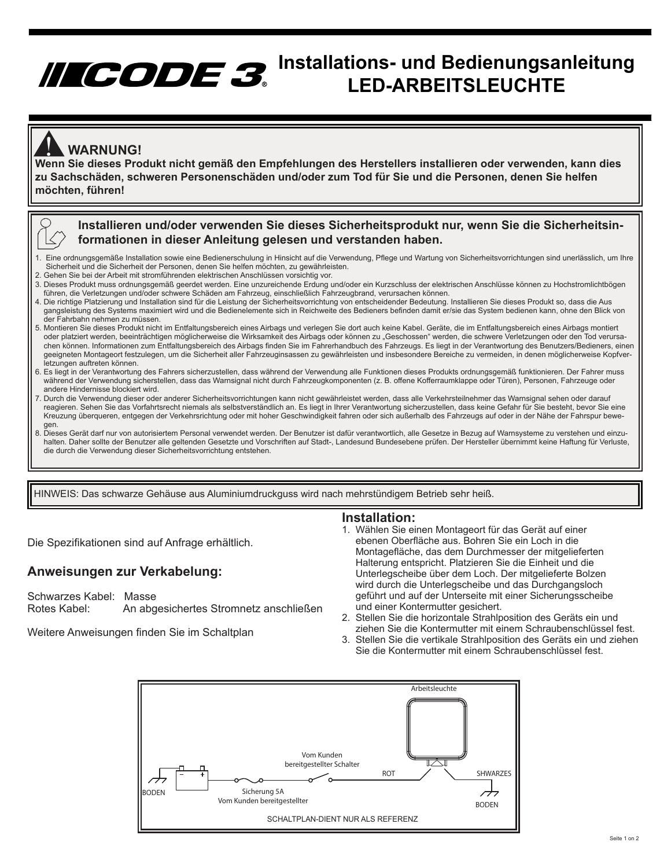# **Installations- und Bedienungsanleitung LED-ARBEITSLEUCHTE**

### **WARNUNG!**

WARNUNG!<br>Wenn Sie dieses Produkt nicht gemäß den Empfehlungen des Herstellers installieren oder verwenden, kann dies **M zu Sachschäden, schweren Personenschäden und/oder zum Tod für Sie und die Personen, denen Sie helfen möchten, führen!**



### **Installieren und/oder verwenden Sie dieses Sicherheitsprodukt nur, wenn Sie die Sicherheitsinformationen in dieser Anleitung gelesen und verstanden haben.**

- 1. Eine ordnungsgemäße Installation sowie eine Bedienerschulung in Hinsicht auf die Verwendung, Pflege und Wartung von Sicherheitsvorrichtungen sind unerlässlich, um Ihre Sicherheit und die Sicherheit der Personen, denen Sie helfen möchten, zu gewährleisten.
- 2. Gehen Sie bei der Arbeit mit stromführenden elektrischen Anschlüssen vorsichtig vor.
- 3. Dieses Produkt muss ordnungsgemäß geerdet werden. Eine unzureichende Erdung und/oder ein Kurzschluss der elektrischen Anschlüsse können zu Hochstromlichtbögen führen, die Verletzungen und/oder schwere Schäden am Fahrzeug, einschließlich Fahrzeugbrand, verursachen können.
- 4. Die richtige Platzierung und Installation sind für die Leistung der Sicherheitsvorrichtung von entscheidender Bedeutung. Installieren Sie dieses Produkt so, dass die Aus gangsleistung des Systems maximiert wird und die Bedienelemente sich in Reichweite des Bedieners befinden damit er/sie das System bedienen kann, ohne den Blick von der Fahrbahn nehmen zu müssen.
- 5. Montieren Sie dieses Produkt nicht im Entfaltungsbereich eines Airbags und verlegen Sie dort auch keine Kabel. Geräte, die im Entfaltungsbereich eines Airbags montiert oder platziert werden, beeinträchtigen möglicherweise die Wirksamkeit des Airbags oder können zu "Geschossen" werden, die schwere Verletzungen oder den Tod verursa chen können. Informationen zum Entfaltungsbereich des Airbags finden Sie im Fahrerhandbuch des Fahrzeugs. Es liegt in der Verantwortung des Benutzers/Bedieners, einen geeigneten Montageort festzulegen, um die Sicherheit aller Fahrzeuginsassen zu gewährleisten und insbesondere Bereiche zu vermeiden, in denen möglicherweise Kopfver letzungen auftreten können.
- 6. Es liegt in der Verantwortung des Fahrers sicherzustellen, dass während der Verwendung alle Funktionen dieses Produkts ordnungsgemäß funktionieren. Der Fahrer muss während der Verwendung sicherstellen, dass das Warnsignal nicht durch Fahrzeugkomponenten (z. B. offene Kofferraumklappe oder Türen), Personen, Fahrzeuge oder andere Hindernisse blockiert wird.
- 7. Durch die Verwendung dieser oder anderer Sicherheitsvorrichtungen kann nicht gewährleistet werden, dass alle Verkehrsteilnehmer das Warnsignal sehen oder darauf reagieren. Sehen Sie das Vorfahrtsrecht niemals als selbstverständlich an. Es liegt in Ihrer Verantwortung sicherzustellen, dass keine Gefahr für Sie besteht, bevor Sie eine Kreuzung überqueren, entgegen der Verkehrsrichtung oder mit hoher Geschwindigkeit fahren oder sich außerhalb des Fahrzeugs auf oder in der Nähe der Fahrspur bewe gen.
- 8. Dieses Gerät darf nur von autorisiertem Personal verwendet werden. Der Benutzer ist dafür verantwortlich, alle Gesetze in Bezug auf Warnsysteme zu verstehen und einzu halten. Daher sollte der Benutzer alle geltenden Gesetzte und Vorschriften auf Stadt-, Landesund Bundesebene prüfen. Der Hersteller übernimmt keine Haftung für Verluste, die durch die Verwendung dieser Sicherheitsvorrichtung entstehen.

HINWEIS: Das schwarze Gehäuse aus Aluminiumdruckguss wird nach mehrstündigem Betrieb sehr heiß.

**Installation:** 

Die Spezifikationen sind auf Anfrage erhältlich.

### **Anweisungen zur Verkabelung:**

Schwarzes Kabel: Masse<br>Rotes Kabel: An abg An abgesichertes Stromnetz anschließen

Weitere Anweisungen finden Sie im Schaltplan

- 1. Wählen Sie einen Montageort für das Gerät auf einer ebenen Oberfläche aus. Bohren Sie ein Loch in die Montagefläche, das dem Durchmesser der mitgelieferten Halterung entspricht. Platzieren Sie die Einheit und die Unterlegscheibe über dem Loch. Der mitgelieferte Bolzen wird durch die Unterlegscheibe und das Durchgangsloch geführt und auf der Unterseite mit einer Sicherungsscheibe und einer Kontermutter gesichert.
- 2. Stellen Sie die horizontale Strahlposition des Geräts ein und ziehen Sie die Kontermutter mit einem Schraubenschlüssel fest.
- 3. Stellen Sie die vertikale Strahlposition des Geräts ein und ziehen Sie die Kontermutter mit einem Schraubenschlüssel fest.